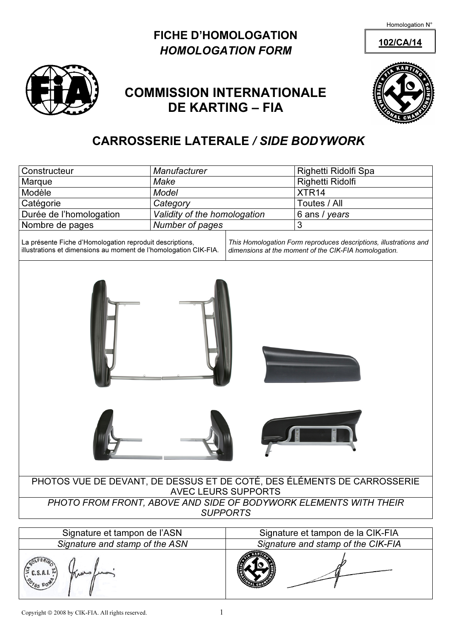Homologation N°

## FICHE D'HOMOLOGATION 102/CA/14 HOMOLOGATION FORM



# COMMISSION INTERNATIONALE DE KARTING – FIA



# CARROSSERIE LATERALE / SIDE BODYWORK

| Constructeur                                                                                                                 | Manufacturer                 |                                                                                                                            | Righetti Ridolfi Spa |  |  |  |  |  |
|------------------------------------------------------------------------------------------------------------------------------|------------------------------|----------------------------------------------------------------------------------------------------------------------------|----------------------|--|--|--|--|--|
| Marque                                                                                                                       | Make                         |                                                                                                                            | Righetti Ridolfi     |  |  |  |  |  |
| Modèle                                                                                                                       | <b>Model</b>                 |                                                                                                                            | XTR <sub>14</sub>    |  |  |  |  |  |
| Catégorie                                                                                                                    | Category                     |                                                                                                                            | Toutes / All         |  |  |  |  |  |
| Durée de l'homologation                                                                                                      | Validity of the homologation |                                                                                                                            | 6 ans / years        |  |  |  |  |  |
| Nombre de pages                                                                                                              | Number of pages              |                                                                                                                            | 3                    |  |  |  |  |  |
| La présente Fiche d'Homologation reproduit descriptions,<br>illustrations et dimensions au moment de l'homologation CIK-FIA. |                              | This Homologation Form reproduces descriptions, illustrations and<br>dimensions at the moment of the CIK-FIA homologation. |                      |  |  |  |  |  |
|                                                                                                                              |                              |                                                                                                                            |                      |  |  |  |  |  |
|                                                                                                                              |                              |                                                                                                                            |                      |  |  |  |  |  |
| PHOTOS VUE DE DEVANT, DE DESSUS ET DE COTÉ, DES ÉLÉMENTS DE CARROSSERIE<br><b>AVEC LEURS SUPPORTS</b>                        |                              |                                                                                                                            |                      |  |  |  |  |  |
| PHOTO FROM FRONT, ABOVE AND SIDE OF BODYWORK ELEMENTS WITH THEIR<br><b>SUPPORTS</b>                                          |                              |                                                                                                                            |                      |  |  |  |  |  |
| Signature et tampon de l'ASN                                                                                                 |                              |                                                                                                                            |                      |  |  |  |  |  |
| Signature and stamp of the ASN                                                                                               |                              | Signature et tampon de la CIK-FIA<br>Signature and stamp of the CIK-FIA                                                    |                      |  |  |  |  |  |
|                                                                                                                              |                              |                                                                                                                            |                      |  |  |  |  |  |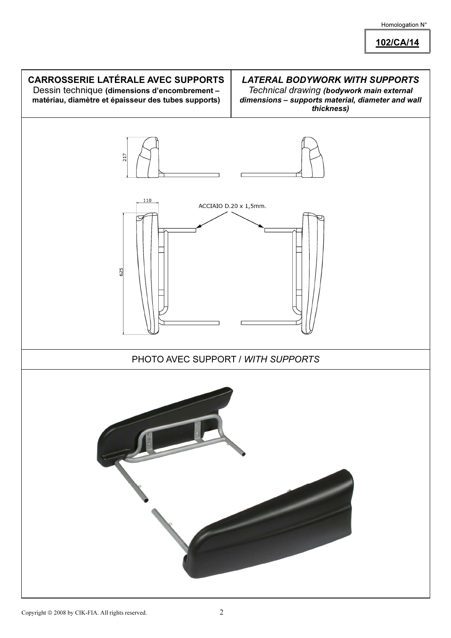### Homologation N°

102/CA/14

# CARROSSERIE LATÉRALE AVEC SUPPORTS LATERAL BODYWORK WITH SUPPORTS Dessin technique (dimensions d'encombrement – Technical drawing (bodywork main external matériau, diamètre et épaisseur des tubes supports) dimensions – supports material, diameter and wall thickness) 217 110 ACCIAIO D.20 x 1,5mm. 625 PHOTO AVEC SUPPORT / WITH SUPPORTS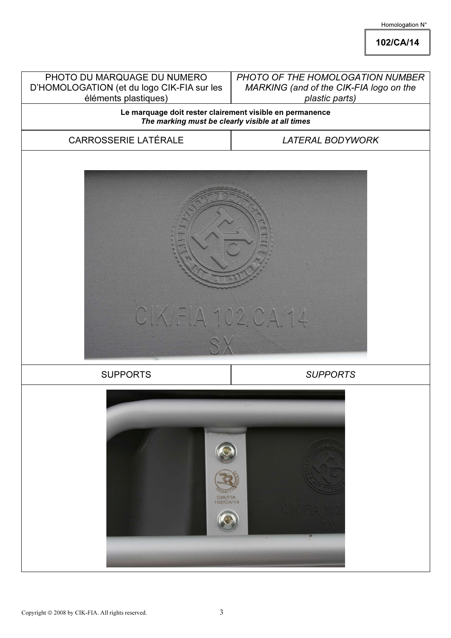### Homologation N°

102/CA/14